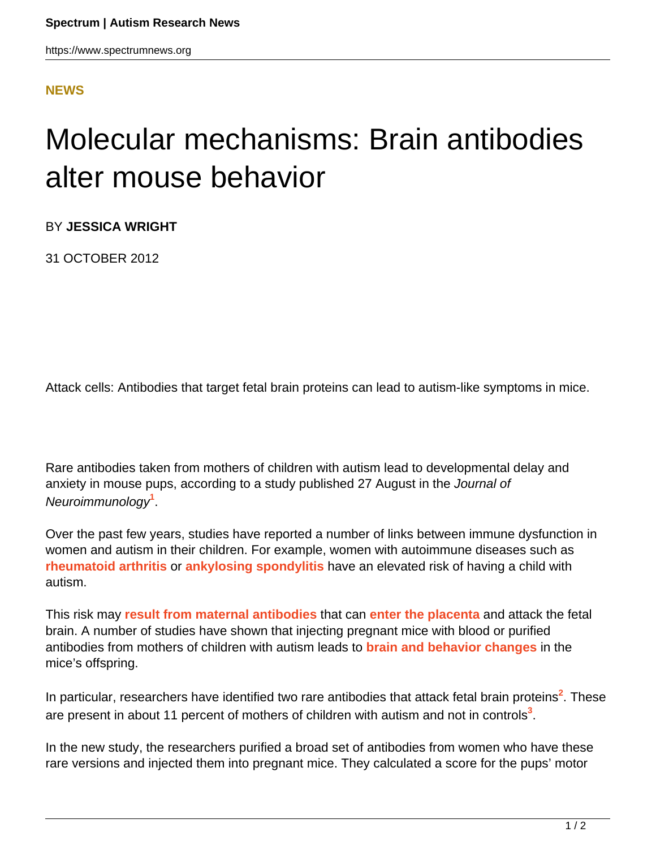## **[NEWS](HTTPS://WWW.SPECTRUMNEWS.ORG/NEWS/)**

## Molecular mechanisms: Brain antibodies alter mouse behavior

BY **JESSICA WRIGHT**

31 OCTOBER 2012

Attack cells: Antibodies that target fetal brain proteins can lead to autism-like symptoms in mice.

Rare antibodies taken from mothers of children with autism lead to developmental delay and anxiety in mouse pups, according to a study published 27 August in the Journal of Neuroimmunology**<sup>1</sup>** .

Over the past few years, studies have reported a number of links between immune dysfunction in women and autism in their children. For example, women with autoimmune diseases such as **[rheumatoid arthritis](../blog/2011/related-risk)** or **[ankylosing spondylitis](2012/clinical-research-autism-genes-linked-to-autoimmune-disease)** have an elevated risk of having a child with autism.

This risk may **[result from maternal antibodies](../news/2011/studies-of-early-development-reveal-immune-link-to-autism)** that can **[enter the placenta](../viewpoint/2012/placenta-plays-potent-role-in-autism-risk)** and attack the fetal brain. A number of studies have shown that injecting pregnant mice with blood or purified antibodies from mothers of children with autism leads to **[brain and behavior changes](../viewpoint/2012/maternal-anti-brain-antibodies-may-play-a-role-in-autism)** in the mice's offspring.

In particular, researchers have identified two rare antibodies that attack fetal brain proteins<sup>2</sup>. These are present in about 11 percent of mothers of children with autism and not in controls**<sup>3</sup>** .

In the new study, the researchers purified a broad set of antibodies from women who have these rare versions and injected them into pregnant mice. They calculated a score for the pups' motor